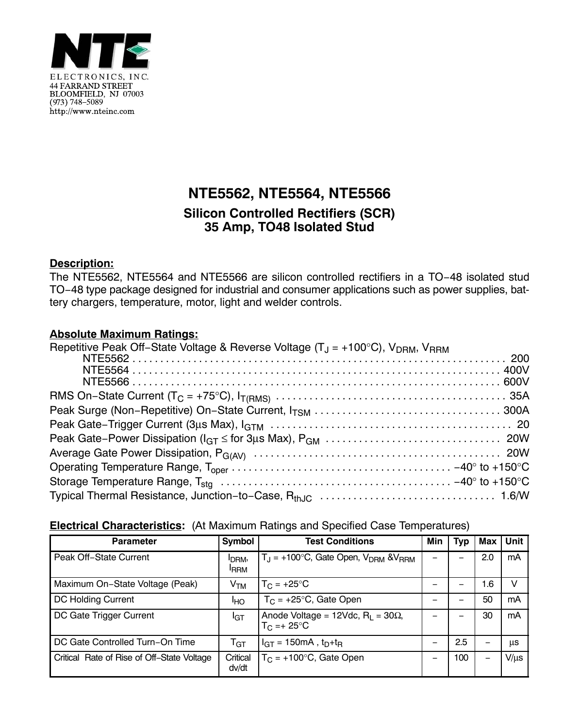

# **NTE5562, NTE5564, NTE5566**

## **Silicon Controlled Rectifiers (SCR) 35 Amp, TO48 Isolated Stud**

#### **Description:**

The NTE5562, NTE5564 and NTE5566 are silicon controlled rectifiers in a TO−48 isolated stud TO−48 type package designed for industrial and consumer applications such as power supplies, battery chargers, temperature, motor, light and welder controls.

#### **Absolute Maximum Ratings:**

| Repetitive Peak Off-State Voltage & Reverse Voltage ( $T_J$ = +100°C), V <sub>DRM</sub> , V <sub>RRM</sub> |  |
|------------------------------------------------------------------------------------------------------------|--|
|                                                                                                            |  |
|                                                                                                            |  |
|                                                                                                            |  |
|                                                                                                            |  |
|                                                                                                            |  |
|                                                                                                            |  |
|                                                                                                            |  |
|                                                                                                            |  |
|                                                                                                            |  |
|                                                                                                            |  |
|                                                                                                            |  |

### **Electrical Characteristics:** (At Maximum Ratings and Specified Case Temperatures)

| <b>Parameter</b>                           | <b>Symbol</b>                     | <b>Test Conditions</b>                                                  | Min | Typ | Max | <b>Unit</b> |
|--------------------------------------------|-----------------------------------|-------------------------------------------------------------------------|-----|-----|-----|-------------|
| Peak Off-State Current                     | I <sub>DRM</sub> ,<br><b>IRRM</b> | $T_{\text{I}}$ = +100°C, Gate Open, $V_{\text{DRM}}$ & $V_{\text{RRM}}$ |     |     | 2.0 | mA          |
| Maximum On-State Voltage (Peak)            | V <sub>TM</sub>                   | $T_{\rm C}$ = +25°C                                                     |     |     | 1.6 | V           |
| DC Holding Current                         | ŀю                                | $T_C$ = +25°C, Gate Open                                                |     |     | 50  | mA          |
| DC Gate Trigger Current                    | <b>I</b> GT                       | Anode Voltage = 12Vdc, $R_1$ = 30 $\Omega$ ,<br>$T_C = +25$ °C          |     |     | 30  | mA          |
| DC Gate Controlled Turn-On Time            | $\mathsf{T}_{\texttt{GT}}$        | $I_{GT}$ = 150mA, $t_D + t_B$                                           |     | 2.5 |     | <b>US</b>   |
| Critical Rate of Rise of Off-State Voltage | Critical<br>dv/dt                 | $T_C$ = +100 $\degree$ C, Gate Open                                     |     | 100 | —   | $V/\mu s$   |